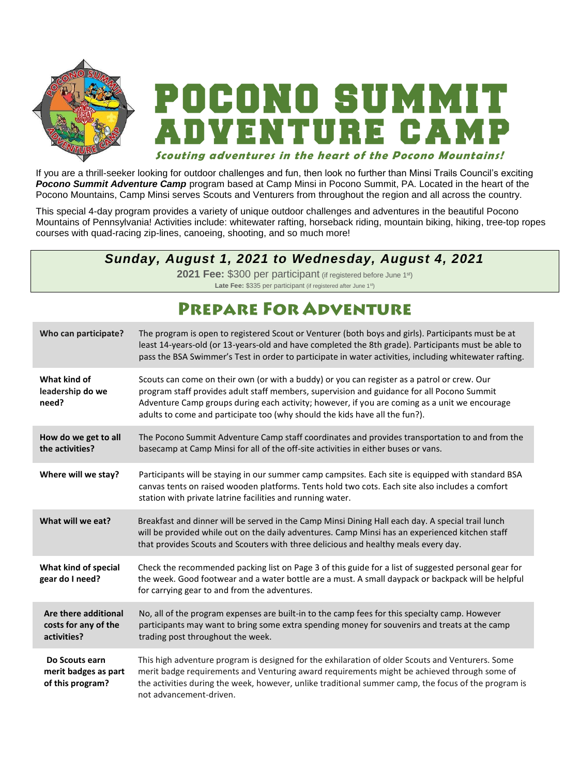

# DEONO SUMM VENTURE CAV

#### **Scouting adventures in the heart of the Pocono Mountains!**

If you are a thrill-seeker looking for outdoor challenges and fun, then look no further than Minsi Trails Council's exciting *Pocono Summit Adventure Camp* program based at Camp Minsi in Pocono Summit, PA. Located in the heart of the Pocono Mountains, Camp Minsi serves Scouts and Venturers from throughout the region and all across the country.

This special 4-day program provides a variety of unique outdoor challenges and adventures in the beautiful Pocono Mountains of Pennsylvania! Activities include: whitewater rafting, horseback riding, mountain biking, hiking, tree-top ropes courses with quad-racing zip-lines, canoeing, shooting, and so much more!

## *Sunday, August 1, 2021 to Wednesday, August 4, 2021*

**2021 Fee:** \$300 per participant (if registered before June 1st) Late Fee: \$335 per participant (if registered after June 1<sup>st</sup>)

# **PREPARE FOR ADVENTURE**

| Who can participate?                                        | The program is open to registered Scout or Venturer (both boys and girls). Participants must be at<br>least 14-years-old (or 13-years-old and have completed the 8th grade). Participants must be able to<br>pass the BSA Swimmer's Test in order to participate in water activities, including whitewater rafting.                                                       |  |  |
|-------------------------------------------------------------|---------------------------------------------------------------------------------------------------------------------------------------------------------------------------------------------------------------------------------------------------------------------------------------------------------------------------------------------------------------------------|--|--|
| What kind of<br>leadership do we<br>need?                   | Scouts can come on their own (or with a buddy) or you can register as a patrol or crew. Our<br>program staff provides adult staff members, supervision and guidance for all Pocono Summit<br>Adventure Camp groups during each activity; however, if you are coming as a unit we encourage<br>adults to come and participate too (why should the kids have all the fun?). |  |  |
| How do we get to all<br>the activities?                     | The Pocono Summit Adventure Camp staff coordinates and provides transportation to and from the<br>basecamp at Camp Minsi for all of the off-site activities in either buses or vans.                                                                                                                                                                                      |  |  |
| Where will we stay?                                         | Participants will be staying in our summer camp campsites. Each site is equipped with standard BSA<br>canvas tents on raised wooden platforms. Tents hold two cots. Each site also includes a comfort<br>station with private latrine facilities and running water.                                                                                                       |  |  |
| What will we eat?                                           | Breakfast and dinner will be served in the Camp Minsi Dining Hall each day. A special trail lunch<br>will be provided while out on the daily adventures. Camp Minsi has an experienced kitchen staff<br>that provides Scouts and Scouters with three delicious and healthy meals every day.                                                                               |  |  |
| What kind of special<br>gear do I need?                     | Check the recommended packing list on Page 3 of this guide for a list of suggested personal gear for<br>the week. Good footwear and a water bottle are a must. A small daypack or backpack will be helpful<br>for carrying gear to and from the adventures.                                                                                                               |  |  |
| Are there additional<br>costs for any of the<br>activities? | No, all of the program expenses are built-in to the camp fees for this specialty camp. However<br>participants may want to bring some extra spending money for souvenirs and treats at the camp<br>trading post throughout the week.                                                                                                                                      |  |  |
| Do Scouts earn<br>merit badges as part<br>of this program?  | This high adventure program is designed for the exhilaration of older Scouts and Venturers. Some<br>merit badge requirements and Venturing award requirements might be achieved through some of<br>the activities during the week, however, unlike traditional summer camp, the focus of the program is<br>not advancement-driven.                                        |  |  |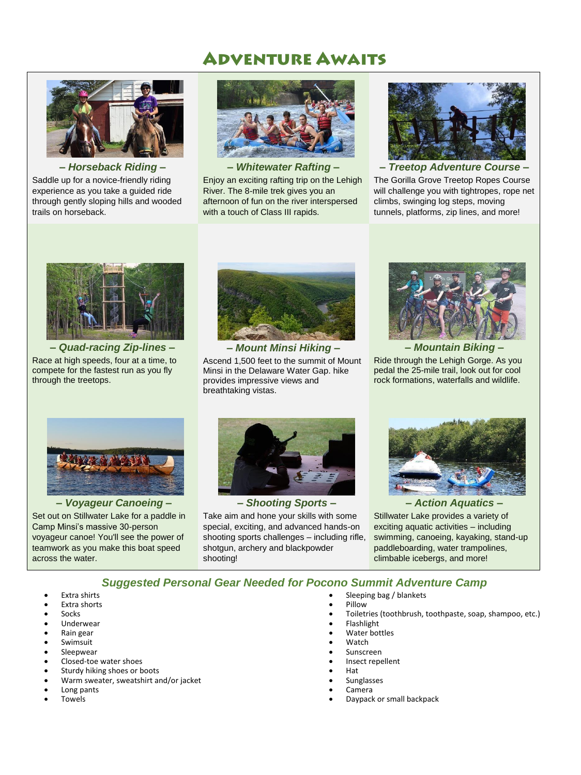# **ADVENTURE AWAITS**



*– Horseback Riding –* Saddle up for a novice-friendly riding experience as you take a guided ride through gently sloping hills and wooded trails on horseback.



*– Whitewater Rafting –* Enjoy an exciting rafting trip on the Lehigh River. The 8-mile trek gives you an afternoon of fun on the river interspersed with a touch of Class III rapids.



*– Treetop Adventure Course –* The Gorilla Grove Treetop Ropes Course will challenge you with tightropes, rope net climbs, swinging log steps, moving tunnels, platforms, zip lines, and more!



*– Quad-racing Zip-lines –* Race at high speeds, four at a time, to compete for the fastest run as you fly through the treetops.



Ascend 1,500 feet to the summit of Mount Minsi in the Delaware Water Gap. hike provides impressive views and breathtaking vistas.



*– Mountain Biking –* Ride through the Lehigh Gorge. As you pedal the 25-mile trail, look out for cool rock formations, waterfalls and wildlife.



*– Voyageur Canoeing –* Set out on Stillwater Lake for a paddle in Camp Minsi's massive 30-person voyageur canoe! You'll see the power of teamwork as you make this boat speed across the water.



*– Shooting Sports –* Take aim and hone your skills with some special, exciting, and advanced hands-on shooting sports challenges – including rifle, shotgun, archery and blackpowder shooting!



*– Action Aquatics –* Stillwater Lake provides a variety of exciting aquatic activities – including swimming, canoeing, kayaking, stand-up paddleboarding, water trampolines, climbable icebergs, and more!

#### *Suggested Personal Gear Needed for Pocono Summit Adventure Camp*

- Extra shirts
- Extra shorts
- Socks
- Underwear
- Rain gear
- Swimsuit
- Sleepwear
- Closed-toe water shoes
- Sturdy hiking shoes or boots
- Warm sweater, sweatshirt and/or jacket
- Long pants
- Towels
- Sleeping bag / blankets
- Pillow
- Toiletries (toothbrush, toothpaste, soap, shampoo, etc.)
- Flashlight
- Water bottles
- Watch
- Sunscreen
- Insect repellent
- Hat
- Sunglasses
- Camera
- Daypack or small backpack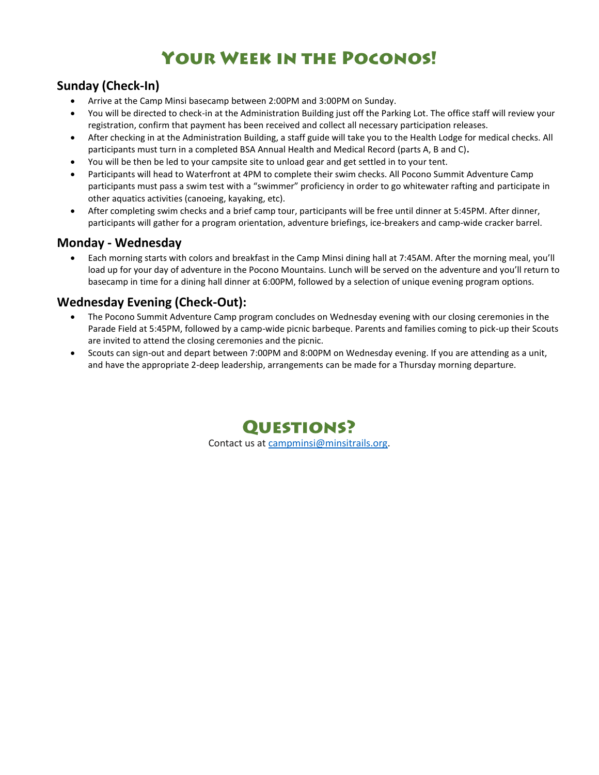# **YOUR WEEK IN THE POCONOS!**

## **Sunday (Check-In)**

- Arrive at the Camp Minsi basecamp between 2:00PM and 3:00PM on Sunday.
- You will be directed to check-in at the Administration Building just off the Parking Lot. The office staff will review your registration, confirm that payment has been received and collect all necessary participation releases.
- After checking in at the Administration Building, a staff guide will take you to the Health Lodge for medical checks. All participants must turn in a completed BSA Annual Health and Medical Record (parts A, B and C)**.**
- You will be then be led to your campsite site to unload gear and get settled in to your tent.
- Participants will head to Waterfront at 4PM to complete their swim checks. All Pocono Summit Adventure Camp participants must pass a swim test with a "swimmer" proficiency in order to go whitewater rafting and participate in other aquatics activities (canoeing, kayaking, etc).
- After completing swim checks and a brief camp tour, participants will be free until dinner at 5:45PM. After dinner, participants will gather for a program orientation, adventure briefings, ice-breakers and camp-wide cracker barrel.

### **Monday - Wednesday**

 Each morning starts with colors and breakfast in the Camp Minsi dining hall at 7:45AM. After the morning meal, you'll load up for your day of adventure in the Pocono Mountains. Lunch will be served on the adventure and you'll return to basecamp in time for a dining hall dinner at 6:00PM, followed by a selection of unique evening program options.

## **Wednesday Evening (Check-Out):**

- The Pocono Summit Adventure Camp program concludes on Wednesday evening with our closing ceremonies in the Parade Field at 5:45PM, followed by a camp-wide picnic barbeque. Parents and families coming to pick-up their Scouts are invited to attend the closing ceremonies and the picnic.
- Scouts can sign-out and depart between 7:00PM and 8:00PM on Wednesday evening. If you are attending as a unit, and have the appropriate 2-deep leadership, arrangements can be made for a Thursday morning departure.

**QUESTIONS?** Contact us at [campminsi@minsitrails.org.](mailto:campminsi@minsitrails.org)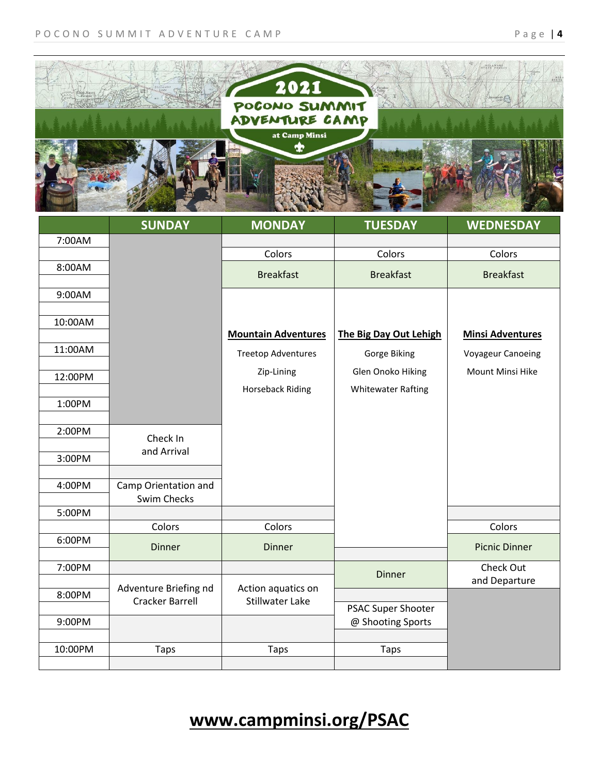

|         | <b>SUNDAY</b>                                   | <b>MONDAY</b>                                | <b>TUESDAY</b>                                 | <b>WEDNESDAY</b>         |
|---------|-------------------------------------------------|----------------------------------------------|------------------------------------------------|--------------------------|
| 7:00AM  |                                                 |                                              |                                                |                          |
|         |                                                 | Colors                                       | Colors                                         | Colors                   |
| 8:00AM  |                                                 | <b>Breakfast</b>                             | <b>Breakfast</b>                               | <b>Breakfast</b>         |
| 9:00AM  |                                                 |                                              |                                                |                          |
| 10:00AM |                                                 | <b>Mountain Adventures</b>                   | The Big Day Out Lehigh                         | <b>Minsi Adventures</b>  |
| 11:00AM |                                                 | <b>Treetop Adventures</b>                    | Gorge Biking                                   | <b>Voyageur Canoeing</b> |
| 12:00PM |                                                 | Zip-Lining                                   | Glen Onoko Hiking                              | Mount Minsi Hike         |
|         |                                                 | <b>Horseback Riding</b>                      | <b>Whitewater Rafting</b>                      |                          |
| 1:00PM  |                                                 |                                              |                                                |                          |
|         |                                                 |                                              |                                                |                          |
| 2:00PM  | Check In                                        |                                              |                                                |                          |
| 3:00PM  | and Arrival                                     |                                              |                                                |                          |
| 4:00PM  | Camp Orientation and<br>Swim Checks             |                                              |                                                |                          |
| 5:00PM  |                                                 |                                              |                                                |                          |
|         | Colors                                          | Colors                                       |                                                | Colors                   |
| 6:00PM  | <b>Dinner</b>                                   | <b>Dinner</b>                                |                                                | <b>Picnic Dinner</b>     |
| 7:00PM  |                                                 |                                              | <b>Dinner</b>                                  | Check Out                |
| 8:00PM  | Adventure Briefing nd<br><b>Cracker Barrell</b> | Action aquatics on<br><b>Stillwater Lake</b> |                                                | and Departure            |
| 9:00PM  |                                                 |                                              | <b>PSAC Super Shooter</b><br>@ Shooting Sports |                          |
| 10:00PM | <b>Taps</b>                                     | <b>Taps</b>                                  | <b>Taps</b>                                    |                          |
|         |                                                 |                                              |                                                |                          |

**www.campminsi.org/PSAC**